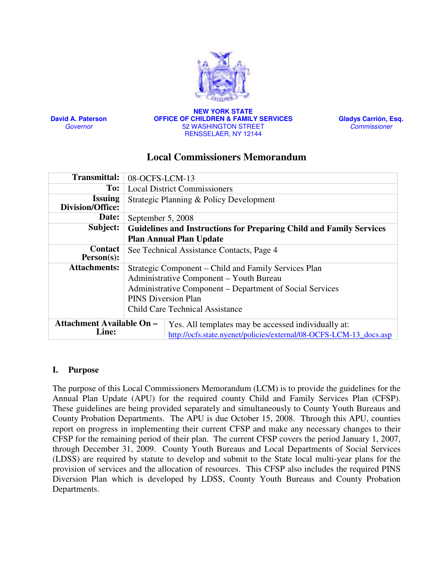

David A. Paterson Governor

NEW YORK STATE OFFICE OF CHILDREN & FAMILY SERVICES 52 WASHINGTON STREET RENSSELAER, NY 12144

Gladys Carrión, Esq. **Commissioner** 

# Local Commissioners Memorandum

| <b>Transmittal:</b>                              | 08-OCFS-LCM-13                                                       |                                                                                                                           |  |
|--------------------------------------------------|----------------------------------------------------------------------|---------------------------------------------------------------------------------------------------------------------------|--|
| To:                                              | <b>Local District Commissioners</b>                                  |                                                                                                                           |  |
| <b>Issuing</b><br>Division/Office:               | Strategic Planning & Policy Development                              |                                                                                                                           |  |
| Date:                                            | September 5, 2008                                                    |                                                                                                                           |  |
| Subject:                                         | Guidelines and Instructions for Preparing Child and Family Services  |                                                                                                                           |  |
|                                                  | <b>Plan Annual Plan Update</b>                                       |                                                                                                                           |  |
| Contact<br>$Person(s)$ :                         | See Technical Assistance Contacts, Page 4                            |                                                                                                                           |  |
| <b>Attachments:</b>                              | Strategic Component – Child and Family Services Plan                 |                                                                                                                           |  |
|                                                  | Administrative Component - Youth Bureau                              |                                                                                                                           |  |
|                                                  | Administrative Component – Department of Social Services             |                                                                                                                           |  |
|                                                  | <b>PINS Diversion Plan</b><br><b>Child Care Technical Assistance</b> |                                                                                                                           |  |
|                                                  |                                                                      |                                                                                                                           |  |
| <b>Attachment Available On -</b><br><b>Line:</b> |                                                                      | Yes. All templates may be accessed individually at:<br>http://ocfs.state.nyenet/policies/external/08-OCFS-LCM-13_docs.asp |  |
|                                                  |                                                                      |                                                                                                                           |  |

## I. Purpose

The purpose of this Local Commissioners Memorandum (LCM) is to provide the guidelines for the Annual Plan Update (APU) for the required county Child and Family Services Plan (CFSP). These guidelines are being provided separately and simultaneously to County Youth Bureaus and County Probation Departments. The APU is due October 15, 2008. Through this APU, counties report on progress in implementing their current CFSP and make any necessary changes to their CFSP for the remaining period of their plan. The current CFSP covers the period January 1, 2007, through December 31, 2009. County Youth Bureaus and Local Departments of Social Services (LDSS) are required by statute to develop and submit to the State local multi-year plans for the provision of services and the allocation of resources. This CFSP also includes the required PINS Diversion Plan which is developed by LDSS, County Youth Bureaus and County Probation Departments.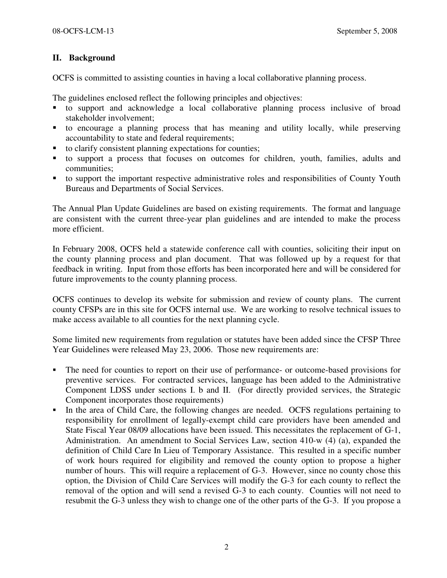# II. Background

OCFS is committed to assisting counties in having a local collaborative planning process.

The guidelines enclosed reflect the following principles and objectives:

- to support and acknowledge a local collaborative planning process inclusive of broad stakeholder involvement;
- to encourage a planning process that has meaning and utility locally, while preserving accountability to state and federal requirements;
- to clarify consistent planning expectations for counties;
- to support a process that focuses on outcomes for children, youth, families, adults and communities;
- to support the important respective administrative roles and responsibilities of County Youth Bureaus and Departments of Social Services.

The Annual Plan Update Guidelines are based on existing requirements. The format and language are consistent with the current three-year plan guidelines and are intended to make the process more efficient.

In February 2008, OCFS held a statewide conference call with counties, soliciting their input on the county planning process and plan document. That was followed up by a request for that feedback in writing. Input from those efforts has been incorporated here and will be considered for future improvements to the county planning process.

OCFS continues to develop its website for submission and review of county plans. The current county CFSPs are in this site for OCFS internal use. We are working to resolve technical issues to make access available to all counties for the next planning cycle.

Some limited new requirements from regulation or statutes have been added since the CFSP Three Year Guidelines were released May 23, 2006. Those new requirements are:

- The need for counties to report on their use of performance- or outcome-based provisions for preventive services. For contracted services, language has been added to the Administrative Component LDSS under sections I. b and II. (For directly provided services, the Strategic Component incorporates those requirements)
- In the area of Child Care, the following changes are needed. OCFS regulations pertaining to responsibility for enrollment of legally-exempt child care providers have been amended and State Fiscal Year 08/09 allocations have been issued. This necessitates the replacement of G-1, Administration. An amendment to Social Services Law, section 410-w (4) (a), expanded the definition of Child Care In Lieu of Temporary Assistance. This resulted in a specific number of work hours required for eligibility and removed the county option to propose a higher number of hours. This will require a replacement of G-3. However, since no county chose this option, the Division of Child Care Services will modify the G-3 for each county to reflect the removal of the option and will send a revised G-3 to each county. Counties will not need to resubmit the G-3 unless they wish to change one of the other parts of the G-3. If you propose a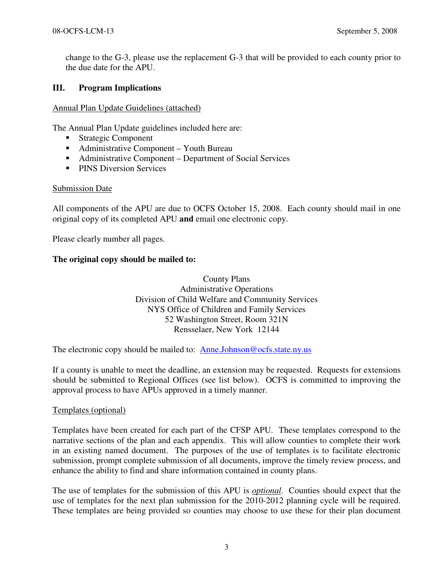change to the G-3, please use the replacement G-3 that will be provided to each county prior to the due date for the APU.

## III. Program Implications

#### Annual Plan Update Guidelines (attached)

The Annual Plan Update guidelines included here are:

- Strategic Component
- Administrative Component Youth Bureau
- Administrative Component Department of Social Services
- **PINS Diversion Services**

## Submission Date

All components of the APU are due to OCFS October 15, 2008. Each county should mail in one original copy of its completed APU and email one electronic copy.

Please clearly number all pages.

## The original copy should be mailed to:

County Plans Administrative Operations Division of Child Welfare and Community Services NYS Office of Children and Family Services 52 Washington Street, Room 321N Rensselaer, New York 12144

The electronic copy should be mailed to: Anne.Johnson@ocfs.state.ny.us

If a county is unable to meet the deadline, an extension may be requested. Requests for extensions should be submitted to Regional Offices (see list below). OCFS is committed to improving the approval process to have APUs approved in a timely manner.

## Templates (optional)

Templates have been created for each part of the CFSP APU. These templates correspond to the narrative sections of the plan and each appendix. This will allow counties to complete their work in an existing named document. The purposes of the use of templates is to facilitate electronic submission, prompt complete submission of all documents, improve the timely review process, and enhance the ability to find and share information contained in county plans.

The use of templates for the submission of this APU is optional. Counties should expect that the use of templates for the next plan submission for the 2010-2012 planning cycle will be required. These templates are being provided so counties may choose to use these for their plan document